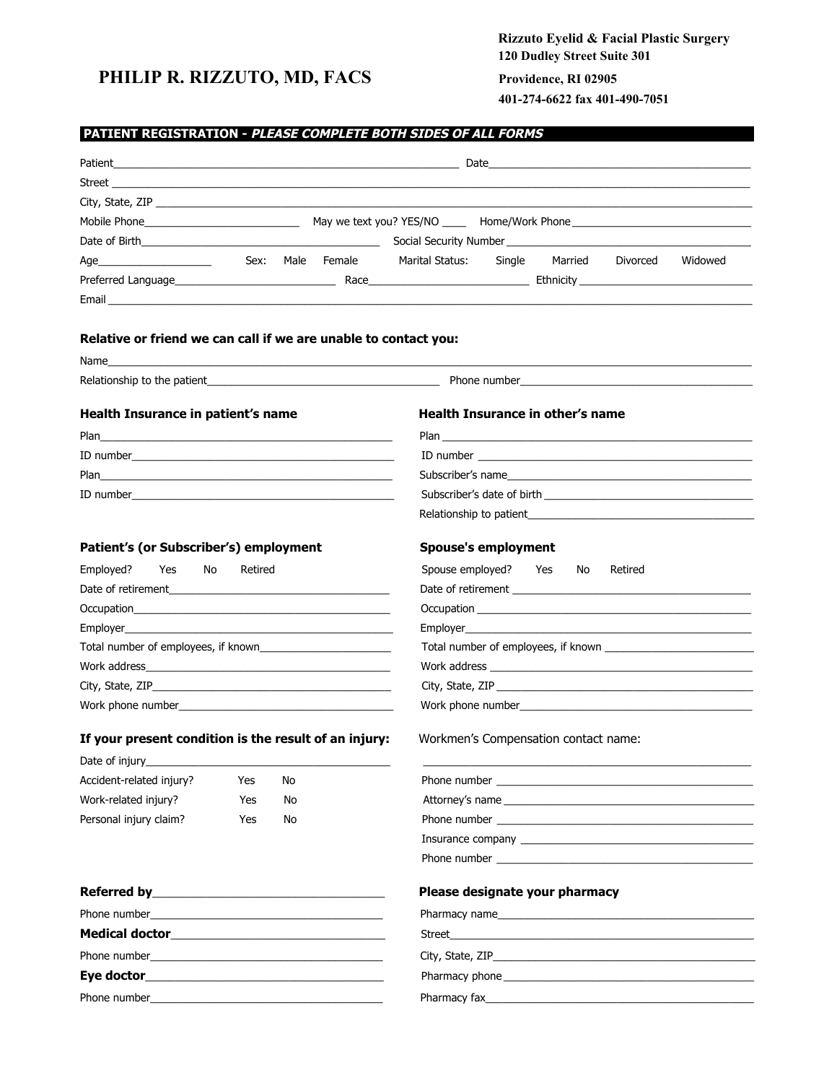## **PHILIP R. RIZZUTO, MD, FACS Providence, RI 02905**

# **Rizzuto Eyelid & Facial Plastic Surgery 120 Dudley Street Suite 301**

**401-274-6622 fax 401-490-7051**

## **PATIENT REGISTRATION - PLEASE COMPLETE BOTH SIDES OF ALL FORMS……***………………………………….....*

|                                                                                                                                                                                                                                                                                                                                             | Patient <b>Example 2018 Patient 2018 Contract 2018 Contract 2018 Contract 2018 Contract 2018 Contract 2018</b>                                                                                                                       |
|---------------------------------------------------------------------------------------------------------------------------------------------------------------------------------------------------------------------------------------------------------------------------------------------------------------------------------------------|--------------------------------------------------------------------------------------------------------------------------------------------------------------------------------------------------------------------------------------|
|                                                                                                                                                                                                                                                                                                                                             |                                                                                                                                                                                                                                      |
|                                                                                                                                                                                                                                                                                                                                             |                                                                                                                                                                                                                                      |
|                                                                                                                                                                                                                                                                                                                                             |                                                                                                                                                                                                                                      |
|                                                                                                                                                                                                                                                                                                                                             |                                                                                                                                                                                                                                      |
| Sex: Male Female Marital Status:                                                                                                                                                                                                                                                                                                            | Single Married Divorced<br>Widowed                                                                                                                                                                                                   |
|                                                                                                                                                                                                                                                                                                                                             |                                                                                                                                                                                                                                      |
|                                                                                                                                                                                                                                                                                                                                             |                                                                                                                                                                                                                                      |
| Relative or friend we can call if we are unable to contact you:                                                                                                                                                                                                                                                                             |                                                                                                                                                                                                                                      |
| Name with the contract of the contract of the contract of the contract of the contract of the contract of the contract of the contract of the contract of the contract of the contract of the contract of the contract of the                                                                                                               |                                                                                                                                                                                                                                      |
|                                                                                                                                                                                                                                                                                                                                             | Relationship to the patient enterty and the control of the control of the control of the control of the control of the control of the control of the control of the control of the control of the control of the control of th       |
| Health Insurance in patient's name                                                                                                                                                                                                                                                                                                          | <b>Health Insurance in other's name</b>                                                                                                                                                                                              |
|                                                                                                                                                                                                                                                                                                                                             |                                                                                                                                                                                                                                      |
|                                                                                                                                                                                                                                                                                                                                             |                                                                                                                                                                                                                                      |
| Plan 2008 - 2008 - 2010 - 2010 - 2010 - 2010 - 2010 - 2011 - 2012 - 2014 - 2014 - 2014 - 2014 - 2014 - 2014 -                                                                                                                                                                                                                               | Subscriber's name                                                                                                                                                                                                                    |
| ID number $\qquad \qquad$ $\qquad$ $\qquad$ $\qquad$ $\qquad$ $\qquad$ $\qquad$ $\qquad$ $\qquad$ $\qquad$ $\qquad$ $\qquad$ $\qquad$ $\qquad$ $\qquad$ $\qquad$ $\qquad$ $\qquad$ $\qquad$ $\qquad$ $\qquad$ $\qquad$ $\qquad$ $\qquad$ $\qquad$ $\qquad$ $\qquad$ $\qquad$ $\qquad$ $\qquad$ $\qquad$ $\qquad$ $\qquad$ $\qquad$ $\qquad$ |                                                                                                                                                                                                                                      |
|                                                                                                                                                                                                                                                                                                                                             |                                                                                                                                                                                                                                      |
| Patient's (or Subscriber's) employment                                                                                                                                                                                                                                                                                                      | <b>Spouse's employment</b>                                                                                                                                                                                                           |
| Employed?<br>Yes<br>No<br>Retired                                                                                                                                                                                                                                                                                                           | Spouse employed? Yes<br>No.<br>Retired                                                                                                                                                                                               |
|                                                                                                                                                                                                                                                                                                                                             |                                                                                                                                                                                                                                      |
| Occupation and the contract of the contract of the contract of the contract of the contract of the contract of                                                                                                                                                                                                                              |                                                                                                                                                                                                                                      |
|                                                                                                                                                                                                                                                                                                                                             |                                                                                                                                                                                                                                      |
| Total number of employees, if known                                                                                                                                                                                                                                                                                                         |                                                                                                                                                                                                                                      |
|                                                                                                                                                                                                                                                                                                                                             |                                                                                                                                                                                                                                      |
|                                                                                                                                                                                                                                                                                                                                             |                                                                                                                                                                                                                                      |
|                                                                                                                                                                                                                                                                                                                                             | Work phone number <b>Work and Shares and Shares and Shares</b> and Shares and Shares and Shares and Shares and Shares and Shares and Shares and Shares and Shares and Shares and Shares and Shares and Shares and Shares and Shares  |
| If your present condition is the result of an injury:                                                                                                                                                                                                                                                                                       | Workmen's Compensation contact name:                                                                                                                                                                                                 |
| Date of injury__________                                                                                                                                                                                                                                                                                                                    |                                                                                                                                                                                                                                      |
| Accident-related injury?<br>Yes<br>No                                                                                                                                                                                                                                                                                                       |                                                                                                                                                                                                                                      |
| Work-related injury?<br>Yes<br>No                                                                                                                                                                                                                                                                                                           |                                                                                                                                                                                                                                      |
| Personal injury claim?<br>Yes<br>No                                                                                                                                                                                                                                                                                                         | Phone number <b>experience and the contract of the contract of the contract of the contract of the contract of the contract of the contract of the contract of the contract of the contract of the contract of the contract of t</b> |
|                                                                                                                                                                                                                                                                                                                                             |                                                                                                                                                                                                                                      |
|                                                                                                                                                                                                                                                                                                                                             |                                                                                                                                                                                                                                      |
|                                                                                                                                                                                                                                                                                                                                             | Please designate your pharmacy                                                                                                                                                                                                       |
|                                                                                                                                                                                                                                                                                                                                             |                                                                                                                                                                                                                                      |
|                                                                                                                                                                                                                                                                                                                                             | Street and the contract of the contract of the contract of the contract of the contract of the contract of the                                                                                                                       |
|                                                                                                                                                                                                                                                                                                                                             |                                                                                                                                                                                                                                      |
|                                                                                                                                                                                                                                                                                                                                             |                                                                                                                                                                                                                                      |
|                                                                                                                                                                                                                                                                                                                                             | Pharmacy phone experience and the contract of the contract of the contract of the contract of the contract of the contract of the contract of the contract of the contract of the contract of the contract of the contract of        |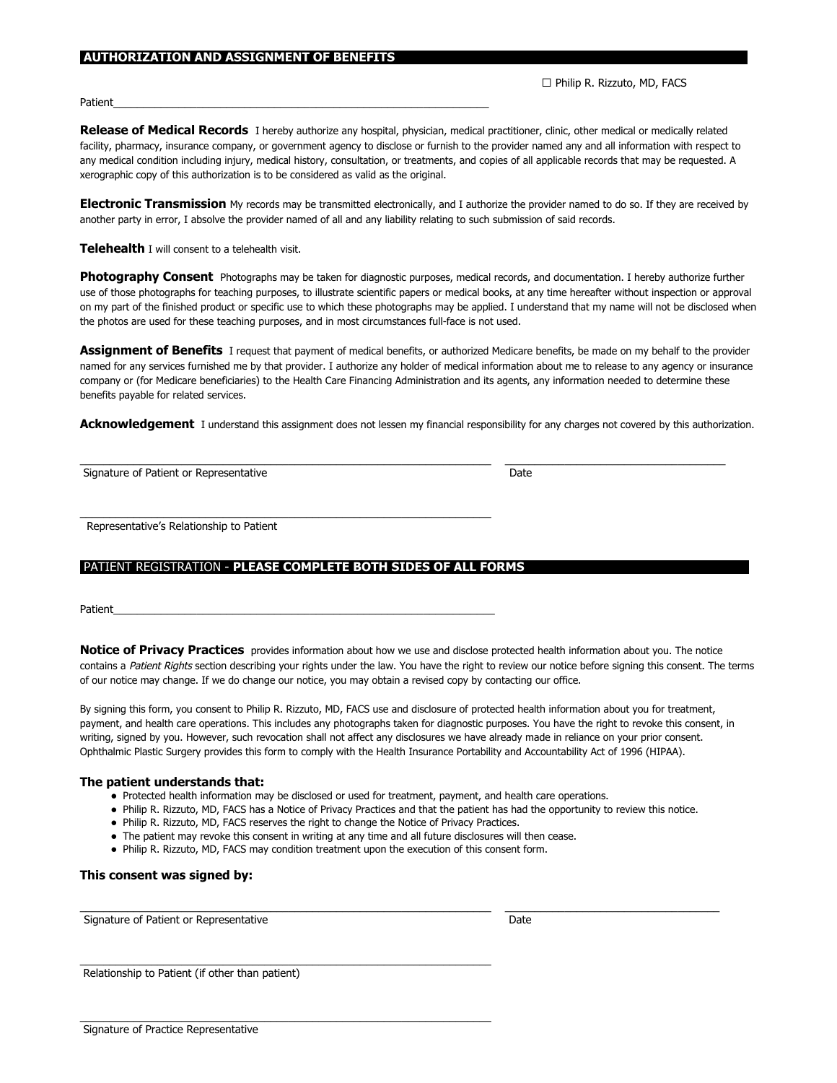#### .**AUTHORIZATION AND ASSIGNMENT OF BENEFITS………**…………………………………………………………………………………………….

□ Philip R. Rizzuto, MD, FACS

Patient\_\_\_\_\_\_\_\_\_\_\_\_\_\_\_\_\_\_\_\_\_\_\_\_\_\_\_\_\_\_\_\_\_\_\_\_\_\_\_\_\_\_\_\_\_\_\_\_\_\_\_\_\_\_\_\_\_\_\_\_\_\_\_

**Release of Medical Records** I hereby authorize any hospital, physician, medical practitioner, clinic, other medical or medically related facility, pharmacy, insurance company, or government agency to disclose or furnish to the provider named any and all information with respect to any medical condition including injury, medical history, consultation, or treatments, and copies of all applicable records that may be requested. A xerographic copy of this authorization is to be considered as valid as the original.

**Electronic Transmission** My records may be transmitted electronically, and I authorize the provider named to do so. If they are received by another party in error, I absolve the provider named of all and any liability relating to such submission of said records.

**Telehealth** I will consent to a telehealth visit.

**Photography Consent** Photographs may be taken for diagnostic purposes, medical records, and documentation. I hereby authorize further use of those photographs for teaching purposes, to illustrate scientific papers or medical books, at any time hereafter without inspection or approval on my part of the finished product or specific use to which these photographs may be applied. I understand that my name will not be disclosed when the photos are used for these teaching purposes, and in most circumstances full-face is not used.

**Assignment of Benefits**  I request that payment of medical benefits, or authorized Medicare benefits, be made on my behalf to the provider named for any services furnished me by that provider. I authorize any holder of medical information about me to release to any agency or insurance company or (for Medicare beneficiaries) to the Health Care Financing Administration and its agents, any information needed to determine these benefits payable for related services.

Acknowledgement I understand this assignment does not lessen my financial responsibility for any charges not covered by this authorization.

 $\_$  , and the state of the state of the state of the state of the state of the state of the state of the state of the state of the state of the state of the state of the state of the state of the state of the state of the

Signature of Patient or Representative Date Date of Patient or Representative Date

Representative's Relationship to Patient

#### PATIENT REGISTRATION - PLEASE COMPLETE BOTH SIDES OF ALL FORMS

 $\mathcal{L}_\mathcal{L}$  , and the set of the set of the set of the set of the set of the set of the set of the set of the set of the set of the set of the set of the set of the set of the set of the set of the set of the set of th

Patient\_\_\_\_\_\_\_\_\_\_\_\_\_\_\_\_\_\_\_\_\_\_\_\_\_\_\_\_\_\_\_\_\_\_\_\_\_\_\_\_\_\_\_\_\_\_\_\_\_\_\_\_\_\_\_\_\_\_\_\_\_\_\_\_

**Notice of Privacy Practices** provides information about how we use and disclose protected health information about you. The notice contains a Patient Rights section describing your rights under the law. You have the right to review our notice before signing this consent. The terms of our notice may change. If we do change our notice, you may obtain a revised copy by contacting our office.

By signing this form, you consent to Philip R. Rizzuto, MD, FACS use and disclosure of protected health information about you for treatment, payment, and health care operations. This includes any photographs taken for diagnostic purposes. You have the right to revoke this consent, in writing, signed by you. However, such revocation shall not affect any disclosures we have already made in reliance on your prior consent. Ophthalmic Plastic Surgery provides this form to comply with the Health Insurance Portability and Accountability Act of 1996 (HIPAA).

#### **The patient understands that:**

- Protected health information may be disclosed or used for treatment, payment, and health care operations.
- Philip R. Rizzuto, MD, FACS has a Notice of Privacy Practices and that the patient has had the opportunity to review this notice.

 $\_$  , and the state of the state of the state of the state of the state of the state of the state of the state of the state of the state of the state of the state of the state of the state of the state of the state of the

● Philip R. Rizzuto, MD, FACS reserves the right to change the Notice of Privacy Practices.

 $\mathcal{L}_\mathcal{L}$  , and the set of the set of the set of the set of the set of the set of the set of the set of the set of the set of the set of the set of the set of the set of the set of the set of the set of the set of th

 $\mathcal{L}_\mathcal{L}$  , and the set of the set of the set of the set of the set of the set of the set of the set of the set of the set of the set of the set of the set of the set of the set of the set of the set of the set of th

- The patient may revoke this consent in writing at any time and all future disclosures will then cease.
- Philip R. Rizzuto, MD, FACS may condition treatment upon the execution of this consent form.

#### **This consent was signed by:**

Signature of Patient or Representative Date Date Date Date Date

Relationship to Patient (if other than patient)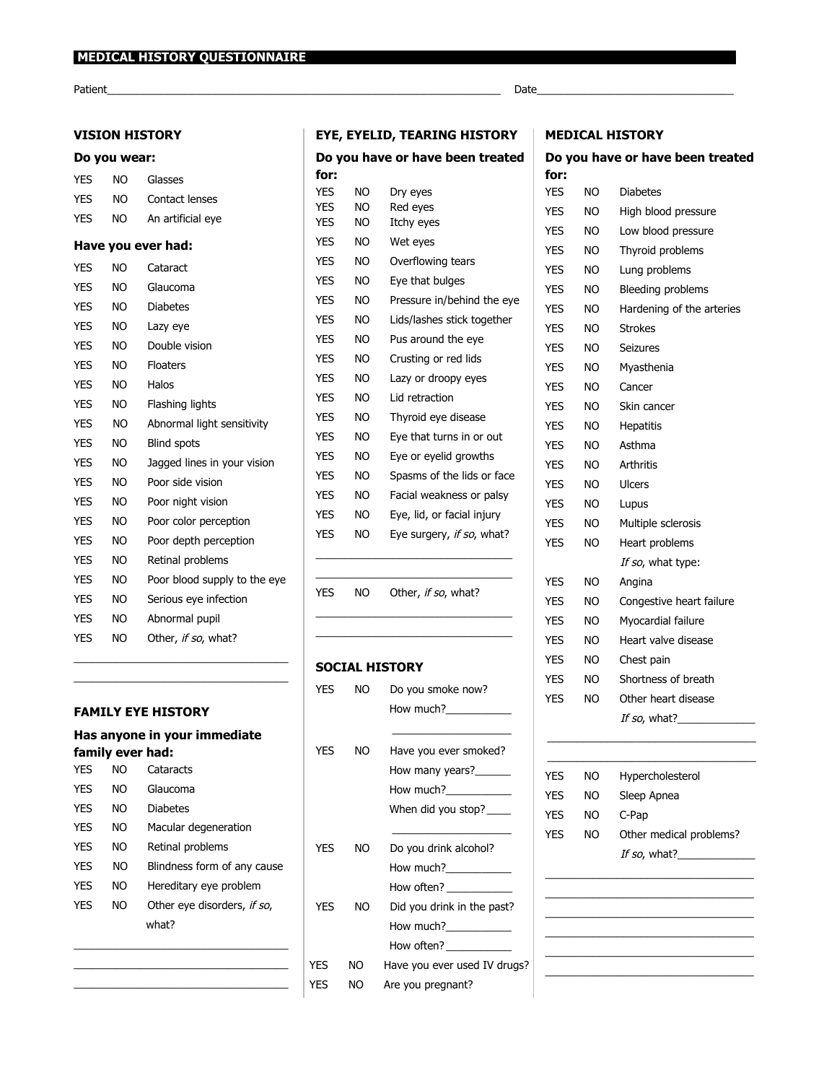${\sf Patient}\_$   $\blacksquare$ 

## **VISION HISTORY**

## **Do you wear:**

| YES        | NO  | Glasses                      |
|------------|-----|------------------------------|
| <b>YES</b> | NO. | Contact lenses               |
| <b>YES</b> | NO. | An artificial eye            |
|            |     | Have you ever had:           |
| <b>YES</b> | NΟ  | Cataract                     |
| <b>YES</b> | NO. | Glaucoma                     |
| <b>YES</b> | NO. | <b>Diabetes</b>              |
| <b>YES</b> | NO. | Lazy eye                     |
| <b>YES</b> | NO. | Double vision                |
| <b>YES</b> | NO. | <b>Floaters</b>              |
| <b>YES</b> | NO. | Halos                        |
| <b>YES</b> | NO. | Flashing lights              |
| <b>YES</b> | NO. | Abnormal light sensitivity   |
| <b>YES</b> | NO. | <b>Blind spots</b>           |
| <b>YES</b> | NO. | Jagged lines in your vision  |
| <b>YES</b> | NO. | Poor side vision             |
| <b>YES</b> | NO. | Poor night vision            |
| <b>YES</b> | NO  | Poor color perception        |
| <b>YES</b> | NO. | Poor depth perception        |
| <b>YES</b> | NO. | Retinal problems             |
| <b>YES</b> | NO. | Poor blood supply to the eye |
| <b>YES</b> | NO. | Serious eye infection        |
| <b>YES</b> | NO. | Abnormal pupil               |
| <b>YES</b> | NO. | Other, if so, what?          |

#### **FAMILY EYE HISTORY**

## **Has anyone in your immediate family ever had:**

\_\_\_\_\_\_\_\_\_\_\_\_\_\_\_\_\_\_\_\_\_\_\_\_\_\_\_\_\_\_\_\_\_\_\_\_ \_\_\_\_\_\_\_\_\_\_\_\_\_\_\_\_\_\_\_\_\_\_\_\_\_\_\_\_\_\_\_\_\_\_\_\_

| YFS        | NΩ | Cataracts                   |
|------------|----|-----------------------------|
| <b>YFS</b> | NΟ | Glaucoma                    |
| <b>YFS</b> | NΟ | <b>Diabetes</b>             |
| <b>YES</b> | NΟ | Macular degeneration        |
| <b>YFS</b> | NΟ | Retinal problems            |
| <b>YFS</b> | NΟ | Blindness form of any cause |
| <b>YFS</b> | NΟ | Hereditary eye problem      |
| <b>YFS</b> | NΟ | Other eye disorders, if so, |
|            |    | what?                       |
|            |    |                             |

\_\_\_\_\_\_\_\_\_\_\_\_\_\_\_\_\_\_\_\_\_\_\_\_\_\_\_\_\_\_\_\_\_\_\_\_

## **EYE, EYELID, TEARING HISTORY**

|            |     | Do you have or have been treated |
|------------|-----|----------------------------------|
| for:       |     |                                  |
| <b>YES</b> | NΟ  | Dry eyes                         |
| <b>YES</b> | NO  | Red eyes                         |
| <b>YES</b> | NO  | Itchy eyes                       |
| <b>YES</b> | NO  | Wet eyes                         |
| <b>YES</b> | NO  | Overflowing tears                |
| <b>YES</b> | NO  | Eye that bulges                  |
| <b>YES</b> | NO  | Pressure in/behind the eye       |
| <b>YES</b> | NO  | Lids/lashes stick together       |
| <b>YES</b> | NΟ  | Pus around the eye               |
| <b>YFS</b> | NΟ  | Crusting or red lids             |
| VEC        | חוח | l azy or droomy over             |

| <b>YES</b> | NO | Lazy or droopy eyes        |
|------------|----|----------------------------|
| <b>YES</b> | NO | Lid retraction             |
| <b>YES</b> | NO | Thyroid eye disease        |
| <b>YES</b> | NO | Eye that turns in or out   |
| <b>YES</b> | NO | Eye or eyelid growths      |
| <b>YES</b> | NO | Spasms of the lids or face |
| <b>YES</b> | NO | Facial weakness or palsy   |
| <b>YES</b> | NΟ | Eye, lid, or facial injury |
| <b>YES</b> | NΟ | Eye surgery, if so, what?  |

### YES NO Other, if so, what?

\_\_\_\_\_\_\_\_\_\_\_\_\_\_\_\_\_\_\_\_\_\_\_\_\_\_\_\_\_\_\_\_\_ \_\_\_\_\_\_\_\_\_\_\_\_\_\_\_\_\_\_\_\_\_\_\_\_\_\_\_\_\_\_\_\_\_

\_\_\_\_\_\_\_\_\_\_\_\_\_\_\_\_\_\_\_\_\_\_\_\_\_\_\_\_\_\_\_\_\_ \_\_\_\_\_\_\_\_\_\_\_\_\_\_\_\_\_\_\_\_\_\_\_\_\_\_\_\_\_\_\_\_\_

#### **SOCIAL HISTORY**

| NO  | Do you smoke now?                                                                                                                                                                                                                                                                                                                                                                                                    |
|-----|----------------------------------------------------------------------------------------------------------------------------------------------------------------------------------------------------------------------------------------------------------------------------------------------------------------------------------------------------------------------------------------------------------------------|
|     | How much?                                                                                                                                                                                                                                                                                                                                                                                                            |
|     |                                                                                                                                                                                                                                                                                                                                                                                                                      |
| ΝO  | Have you ever smoked?                                                                                                                                                                                                                                                                                                                                                                                                |
|     | How many years?                                                                                                                                                                                                                                                                                                                                                                                                      |
|     | How much?____________                                                                                                                                                                                                                                                                                                                                                                                                |
|     | When did you stop? _____                                                                                                                                                                                                                                                                                                                                                                                             |
|     |                                                                                                                                                                                                                                                                                                                                                                                                                      |
| NO  | Do you drink alcohol?                                                                                                                                                                                                                                                                                                                                                                                                |
|     | How much?                                                                                                                                                                                                                                                                                                                                                                                                            |
|     | How often? ____________                                                                                                                                                                                                                                                                                                                                                                                              |
| NO  | Did you drink in the past?                                                                                                                                                                                                                                                                                                                                                                                           |
|     | How much?                                                                                                                                                                                                                                                                                                                                                                                                            |
|     | How often? $\frac{1}{\sqrt{1-\frac{1}{2}}}\frac{1}{\sqrt{1-\frac{1}{2}}}\frac{1}{\sqrt{1-\frac{1}{2}}}\frac{1}{\sqrt{1-\frac{1}{2}}}\frac{1}{\sqrt{1-\frac{1}{2}}}\frac{1}{\sqrt{1-\frac{1}{2}}}\frac{1}{\sqrt{1-\frac{1}{2}}}\frac{1}{\sqrt{1-\frac{1}{2}}}\frac{1}{\sqrt{1-\frac{1}{2}}}\frac{1}{\sqrt{1-\frac{1}{2}}}\frac{1}{\sqrt{1-\frac{1}{2}}}\frac{1}{\sqrt{1-\frac{1}{2}}}\frac{1}{\sqrt{1-\frac{1}{2}}}\$ |
| NO. | Have you ever used IV drugs?                                                                                                                                                                                                                                                                                                                                                                                         |
| NΟ  | Are you pregnant?                                                                                                                                                                                                                                                                                                                                                                                                    |
|     |                                                                                                                                                                                                                                                                                                                                                                                                                      |

#### **MEDICAL HISTORY**

## **Do you have or have been treated**

| for:       |           |                           |
|------------|-----------|---------------------------|
| YES        | ΝO        | <b>Diabetes</b>           |
| YES        | ΝO        | High blood pressure       |
| YES        | ΝO        | Low blood pressure        |
| YES        | NO        | Thyroid problems          |
| YES        | ΝO        | Lung problems             |
| YES        | ΝO        | Bleeding problems         |
| YES        | ΝO        | Hardening of the arteries |
| YES        | ΝO        | <b>Strokes</b>            |
| YES        | NO        | Seizures                  |
| YES        | ΝO        | Myasthenia                |
| YES        | NO        | Cancer                    |
| YES        | ΝO        | Skin cancer               |
| YES        | ΝO        | <b>Hepatitis</b>          |
| <b>YES</b> | ΝO        | Asthma                    |
| YES        | NO        | <b>Arthritis</b>          |
| YES        | ΝO        | <b>Ulcers</b>             |
| YES        | NO        | Lupus                     |
| YES        | <b>NO</b> | Multiple sclerosis        |
| <b>YES</b> | NO        | Heart problems            |
|            |           | If so, what type:         |
| YES        | ΝO        | Angina                    |
| <b>YES</b> | ΝO        | Congestive heart failure  |
| YES        | ΝO        | Myocardial failure        |
| YES        | ΝO        | Heart valve disease       |
| YES        | ΝO        | Chest pain                |
| YES        | ΝO        | Shortness of breath       |
| YES        | ΝO        | Other heart disease       |
|            |           |                           |
|            |           |                           |
| <b>YFS</b> | NO –      | Hypercholesterol          |
| YES        | ΝO        | Sleep Apnea               |
| YES        | NO        | C-Pap                     |
| <b>YES</b> | NO        | Other medical problems?   |
|            |           |                           |
|            |           |                           |
|            |           |                           |
|            |           |                           |

\_\_\_\_\_\_\_\_\_\_\_\_\_\_\_\_\_\_\_\_\_\_\_\_\_\_\_\_\_\_\_\_\_\_\_ \_\_\_\_\_\_\_\_\_\_\_\_\_\_\_\_\_\_\_\_\_\_\_\_\_\_\_\_\_\_\_\_\_\_\_ \_\_\_\_\_\_\_\_\_\_\_\_\_\_\_\_\_\_\_\_\_\_\_\_\_\_\_\_\_\_\_\_\_\_\_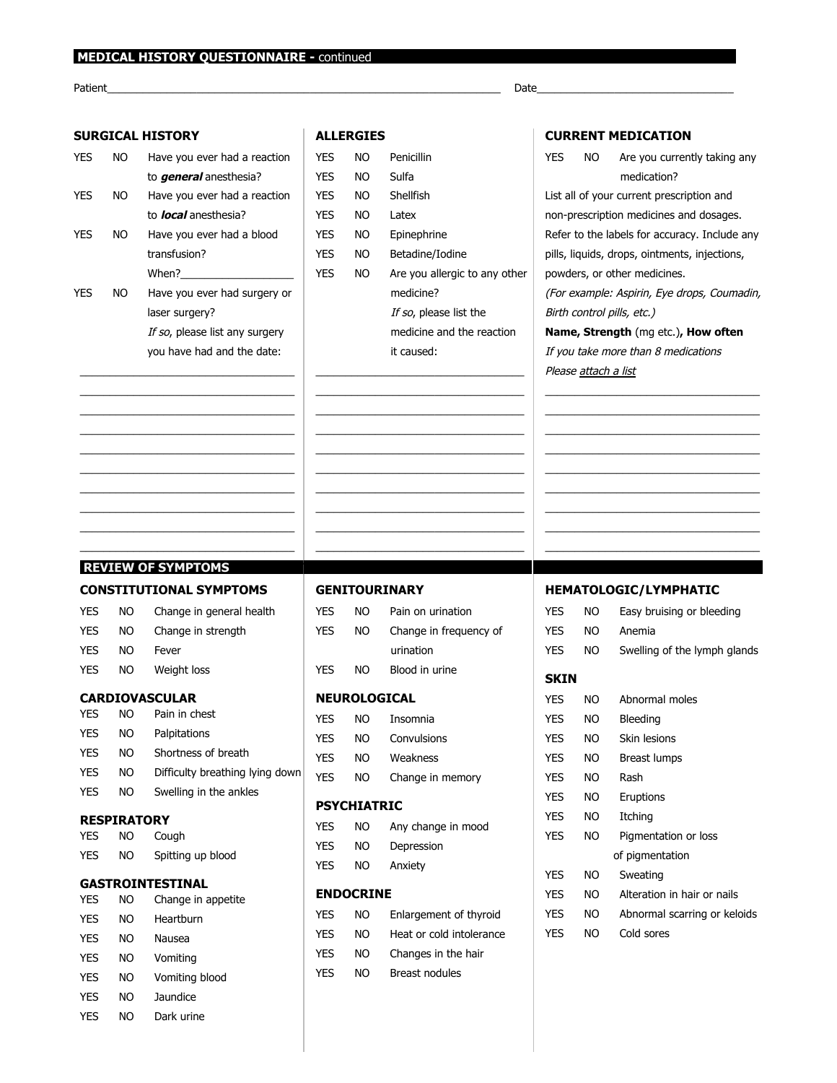## **MEDICAL HISTORY QUESTIONNAIRE - continued**

 ${\sf Patient}\_$   $\blacksquare$ 

## **SURGICAL HISTORY**

#### **ALLERGIES**

| YES | NO | Have you ever had a reaction   |
|-----|----|--------------------------------|
|     |    | to <i>general</i> anesthesia?  |
| YES | NO | Have you ever had a reaction   |
|     |    | to <i>local</i> anesthesia?    |
| YES | NΟ | Have you ever had a blood      |
|     |    | transfusion?                   |
|     |    | When?                          |
| YES | NΟ | Have you ever had surgery or   |
|     |    | laser surgery?                 |
|     |    | If so, please list any surgery |
|     |    | you have had and the date:     |

\_\_\_\_\_\_\_\_\_\_\_\_\_\_\_\_\_\_\_\_\_\_\_\_\_\_\_\_\_\_\_\_\_\_\_\_ \_\_\_\_\_\_\_\_\_\_\_\_\_\_\_\_\_\_\_\_\_\_\_\_\_\_\_\_\_\_\_\_\_\_\_\_ \_\_\_\_\_\_\_\_\_\_\_\_\_\_\_\_\_\_\_\_\_\_\_\_\_\_\_\_\_\_\_\_\_\_\_\_ \_\_\_\_\_\_\_\_\_\_\_\_\_\_\_\_\_\_\_\_\_\_\_\_\_\_\_\_\_\_\_\_\_\_\_\_ \_\_\_\_\_\_\_\_\_\_\_\_\_\_\_\_\_\_\_\_\_\_\_\_\_\_\_\_\_\_\_\_\_\_\_\_ \_\_\_\_\_\_\_\_\_\_\_\_\_\_\_\_\_\_\_\_\_\_\_\_\_\_\_\_\_\_\_\_\_\_\_\_ \_\_\_\_\_\_\_\_\_\_\_\_\_\_\_\_\_\_\_\_\_\_\_\_\_\_\_\_\_\_\_\_\_\_\_\_ \_\_\_\_\_\_\_\_\_\_\_\_\_\_\_\_\_\_\_\_\_\_\_\_\_\_\_\_\_\_\_\_\_\_\_\_ \_\_\_\_\_\_\_\_\_\_\_\_\_\_\_\_\_\_\_\_\_\_\_\_\_\_\_\_\_\_\_\_\_\_\_\_ \_\_\_\_\_\_\_\_\_\_\_\_\_\_\_\_\_\_\_\_\_\_\_\_\_\_\_\_\_\_\_\_\_\_\_\_

| <b>YFS</b> | NO. | Penicillin                    |
|------------|-----|-------------------------------|
| <b>YFS</b> | NO  | Sulfa                         |
| <b>YFS</b> | NΟ  | Shellfish                     |
| <b>YFS</b> | NΟ  | I atex                        |
| <b>YFS</b> | NΟ  | Epinephrine                   |
| <b>YFS</b> | NΟ  | Betadine/Iodine               |
| <b>YFS</b> | NΟ  | Are you allergic to any other |
|            |     | medicine?                     |
|            |     | If so, please list the        |
|            |     | medicine and the reaction     |

it caused:

\_\_\_\_\_\_\_\_\_\_\_\_\_\_\_\_\_\_\_\_\_\_\_\_\_\_\_\_\_\_\_\_\_\_\_ \_\_\_\_\_\_\_\_\_\_\_\_\_\_\_\_\_\_\_\_\_\_\_\_\_\_\_\_\_\_\_\_\_\_\_ \_\_\_\_\_\_\_\_\_\_\_\_\_\_\_\_\_\_\_\_\_\_\_\_\_\_\_\_\_\_\_\_\_\_\_ \_\_\_\_\_\_\_\_\_\_\_\_\_\_\_\_\_\_\_\_\_\_\_\_\_\_\_\_\_\_\_\_\_\_\_ \_\_\_\_\_\_\_\_\_\_\_\_\_\_\_\_\_\_\_\_\_\_\_\_\_\_\_\_\_\_\_\_\_\_\_ \_\_\_\_\_\_\_\_\_\_\_\_\_\_\_\_\_\_\_\_\_\_\_\_\_\_\_\_\_\_\_\_\_\_\_ \_\_\_\_\_\_\_\_\_\_\_\_\_\_\_\_\_\_\_\_\_\_\_\_\_\_\_\_\_\_\_\_\_\_\_ \_\_\_\_\_\_\_\_\_\_\_\_\_\_\_\_\_\_\_\_\_\_\_\_\_\_\_\_\_\_\_\_\_\_\_ \_\_\_\_\_\_\_\_\_\_\_\_\_\_\_\_\_\_\_\_\_\_\_\_\_\_\_\_\_\_\_\_\_\_\_ \_\_\_\_\_\_\_\_\_\_\_\_\_\_\_\_\_\_\_\_\_\_\_\_\_\_\_\_\_\_\_\_\_\_\_ **T……………………………………………………...**

## **CURRENT MEDICATION**

| YES                                           |                                               | NO Are you currently taking any             |  |
|-----------------------------------------------|-----------------------------------------------|---------------------------------------------|--|
|                                               |                                               | medication?                                 |  |
|                                               |                                               | List all of your current prescription and   |  |
| non-prescription medicines and dosages.       |                                               |                                             |  |
| Refer to the labels for accuracy. Include any |                                               |                                             |  |
|                                               | pills, liquids, drops, ointments, injections, |                                             |  |
|                                               |                                               | powders, or other medicines.                |  |
|                                               |                                               | (For example: Aspirin, Eye drops, Coumadin, |  |
|                                               |                                               | Birth control pills, etc.)                  |  |
|                                               |                                               | <b>Name, Strength (mg etc.), How often</b>  |  |
|                                               |                                               | If you take more than 8 medications         |  |
|                                               | Please attach a list                          |                                             |  |

\_\_\_\_\_\_\_\_\_\_\_\_\_\_\_\_\_\_\_\_\_\_\_\_\_\_\_\_\_\_\_\_\_\_\_\_ \_\_\_\_\_\_\_\_\_\_\_\_\_\_\_\_\_\_\_\_\_\_\_\_\_\_\_\_\_\_\_\_\_\_\_\_ \_\_\_\_\_\_\_\_\_\_\_\_\_\_\_\_\_\_\_\_\_\_\_\_\_\_\_\_\_\_\_\_\_\_\_\_ \_\_\_\_\_\_\_\_\_\_\_\_\_\_\_\_\_\_\_\_\_\_\_\_\_\_\_\_\_\_\_\_\_\_\_\_ \_\_\_\_\_\_\_\_\_\_\_\_\_\_\_\_\_\_\_\_\_\_\_\_\_\_\_\_\_\_\_\_\_\_\_\_ \_\_\_\_\_\_\_\_\_\_\_\_\_\_\_\_\_\_\_\_\_\_\_\_\_\_\_\_\_\_\_\_\_\_\_\_ \_\_\_\_\_\_\_\_\_\_\_\_\_\_\_\_\_\_\_\_\_\_\_\_\_\_\_\_\_\_\_\_\_\_\_\_ \_\_\_\_\_\_\_\_\_\_\_\_\_\_\_\_\_\_\_\_\_\_\_\_\_\_\_\_\_\_\_\_\_\_\_\_ \_\_\_\_\_\_\_\_\_\_\_\_\_\_\_\_\_\_\_\_\_\_\_\_\_\_\_\_\_\_\_\_\_\_\_\_ **…………………………………………….….**

## **REVIEW OF SYMPTOMS………………**

### **CONSTITUTIONAL SYMPTOMS**

| <b>YES</b> | NO. | Change in general health |
|------------|-----|--------------------------|
| <b>YES</b> | NO. | Change in strength       |
| <b>YES</b> | NO. | Fever                    |
| <b>YES</b> | NO. | Weight loss              |
|            |     |                          |

#### **CARDIOVASCULAR**

| <b>YES</b> | NΟ | Pain in chest                   |
|------------|----|---------------------------------|
| <b>YES</b> | ΝO | Palpitations                    |
| <b>YES</b> | NΟ | Shortness of breath             |
| <b>YES</b> | ΝO | Difficulty breathing lying down |
| <b>YES</b> | ΝO | Swelling in the ankles          |

#### **RESPIRATORY**

| YES | NΟ | Cough             |
|-----|----|-------------------|
| YES | NΟ | Spitting up blood |

#### **GASTROINTESTINAL**

| <b>YES</b> | NO | Change in appetite |
|------------|----|--------------------|
| <b>YES</b> | NO | Heartburn          |
| <b>YES</b> | NO | Nausea             |
| <b>YES</b> | NO | Vomiting           |
| <b>YES</b> | NO | Vomiting blood     |
| <b>YES</b> | NO | Jaundice           |
| <b>YES</b> | NΟ | Dark urine         |

#### **GENITOURINARY**

| YES.         | NO  | Pain on urination      |  |
|--------------|-----|------------------------|--|
| YES          | NO  | Change in frequency of |  |
|              |     | urination              |  |
| YES          | NO. | Blood in urine         |  |
| NEUROLOGICAL |     |                        |  |
| YES          | NΟ  | Insomnia               |  |
| YES          | NO  | Convulsions            |  |
| YES          | NO  | Weakness               |  |
| YES          | ΝO  | Change in memory       |  |
|              |     |                        |  |

#### **PSYCHIATRIC**

| YES. | NO. | Any change in mood |
|------|-----|--------------------|
| YES. | NO. | Depression         |
| YES. | NO. | Anxiety            |

### **ENDOCRINE**

| YES | NΟ | Enlargement of thyroid   |
|-----|----|--------------------------|
| YES | NΟ | Heat or cold intolerance |
| YES | NΟ | Changes in the hair      |
| YES | NΟ | Breast nodules           |

#### **HEMATOLOGIC/LYMPHATIC**

| NΟ  | Easy bruising or bleeding    |
|-----|------------------------------|
| NΟ  | Anemia                       |
| NO. | Swelling of the lymph glands |
|     |                              |
| NΟ  | Abnormal moles               |
| NO. | Bleeding                     |
| NΟ  | Skin lesions                 |
| NΟ  | Breast lumps                 |
| NΟ  | Rash                         |
| NO. | Eruptions                    |
| NΟ  | Itching                      |
| NΟ  | Pigmentation or loss         |
|     | of pigmentation              |
| NO  | Sweating                     |
| NΟ  | Alteration in hair or nails  |
| NΟ  | Abnormal scarring or keloids |
| NΟ  | Cold sores                   |
|     |                              |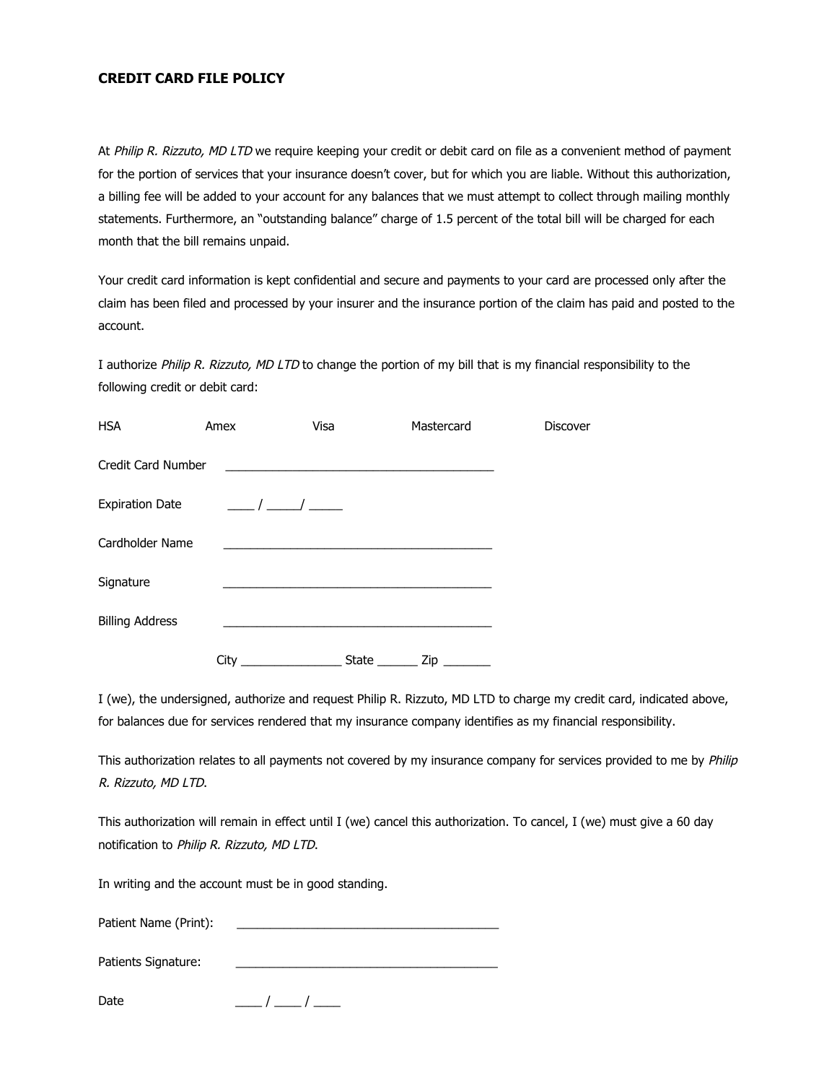## **CREDIT CARD FILE POLICY**

At Philip R. Rizzuto, MD LTD we require keeping your credit or debit card on file as a convenient method of payment for the portion of services that your insurance doesn't cover, but for which you are liable. Without this authorization, a billing fee will be added to your account for any balances that we must attempt to collect through mailing monthly statements. Furthermore, an "outstanding balance" charge of 1.5 percent of the total bill will be charged for each month that the bill remains unpaid.

Your credit card information is kept confidential and secure and payments to your card are processed only after the claim has been filed and processed by your insurer and the insurance portion of the claim has paid and posted to the account.

I authorize Philip R. Rizzuto, MD LTD to change the portion of my bill that is my financial responsibility to the following credit or debit card:

| <b>HSA</b>             | Amex | Visa                                                         | Mastercard               | Discover |
|------------------------|------|--------------------------------------------------------------|--------------------------|----------|
| Credit Card Number     |      | <u> 1980 - Johann Stoff, martin fransk politik (d. 1980)</u> |                          |          |
| <b>Expiration Date</b> |      | $\frac{1}{\sqrt{1-\frac{1}{2}}}$                             |                          |          |
| Cardholder Name        |      |                                                              |                          |          |
| Signature              |      |                                                              |                          |          |
| <b>Billing Address</b> |      |                                                              |                          |          |
|                        | City | State                                                        | $Zip$ <sub>_______</sub> |          |

I (we), the undersigned, authorize and request Philip R. Rizzuto, MD LTD to charge my credit card, indicated above, for balances due for services rendered that my insurance company identifies as my financial responsibility.

This authorization relates to all payments not covered by my insurance company for services provided to me by Philip R. Rizzuto, MD LTD.

This authorization will remain in effect until I (we) cancel this authorization. To cancel, I (we) must give a 60 day notification to Philip R. Rizzuto, MD LTD.

In writing and the account must be in good standing.

Patient Name (Print):

Patients Signature:

Date  $\frac{1}{2}$  /  $\frac{1}{2}$  /  $\frac{1}{2}$